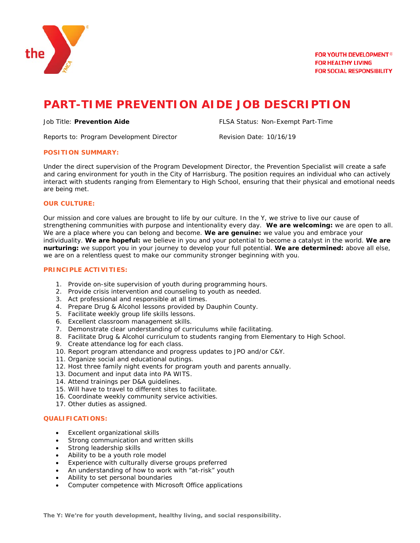

# **PART-TIME PREVENTION AIDE JOB DESCRIPTION**

Job Title: **Prevention Aide** FLSA Status: Non-Exempt Part-Time

Reports to: Program Development Director **Revision Date: 10/16/19** 

## **POSITION SUMMARY:**

Under the direct supervision of the Program Development Director, the Prevention Specialist will create a safe and caring environment for youth in the City of Harrisburg. The position requires an individual who can actively interact with students ranging from Elementary to High School, ensuring that their physical and emotional needs are being met.

## **OUR CULTURE:**

Our mission and core values are brought to life by our culture. In the Y, we strive to live our cause of strengthening communities with purpose and intentionality every day. **We are welcoming:** we are open to all. We are a place where you can belong and become. **We are genuine:** we value you and embrace your individuality. **We are hopeful:** we believe in you and your potential to become a catalyst in the world. **We are nurturing:** we support you in your journey to develop your full potential. **We are determined:** above all else, we are on a relentless quest to make our community stronger beginning with you.

## **PRINCIPLE ACTIVITIES:**

- 1. Provide on-site supervision of youth during programming hours.
- 2. Provide crisis intervention and counseling to youth as needed.
- 3. Act professional and responsible at all times.
- 4. Prepare Drug & Alcohol lessons provided by Dauphin County.
- 5. Facilitate weekly group life skills lessons.
- 6. Excellent classroom management skills.
- 7. Demonstrate clear understanding of curriculums while facilitating.
- 8. Facilitate Drug & Alcohol curriculum to students ranging from Elementary to High School.
- 9. Create attendance log for each class.
- 10. Report program attendance and progress updates to JPO and/or C&Y.
- 11. Organize social and educational outings.
- 12. Host three family night events for program youth and parents annually.
- 13. Document and input data into PA WITS.
- 14. Attend trainings per D&A guidelines.
- 15. Will have to travel to different sites to facilitate.
- 16. Coordinate weekly community service activities.
- 17. Other duties as assigned.

## **QUALIFICATIONS:**

- Excellent organizational skills
- Strong communication and written skills
- Strong leadership skills
- Ability to be a youth role model
- Experience with culturally diverse groups preferred
- An understanding of how to work with "at-risk" youth
- Ability to set personal boundaries
- Computer competence with Microsoft Office applications